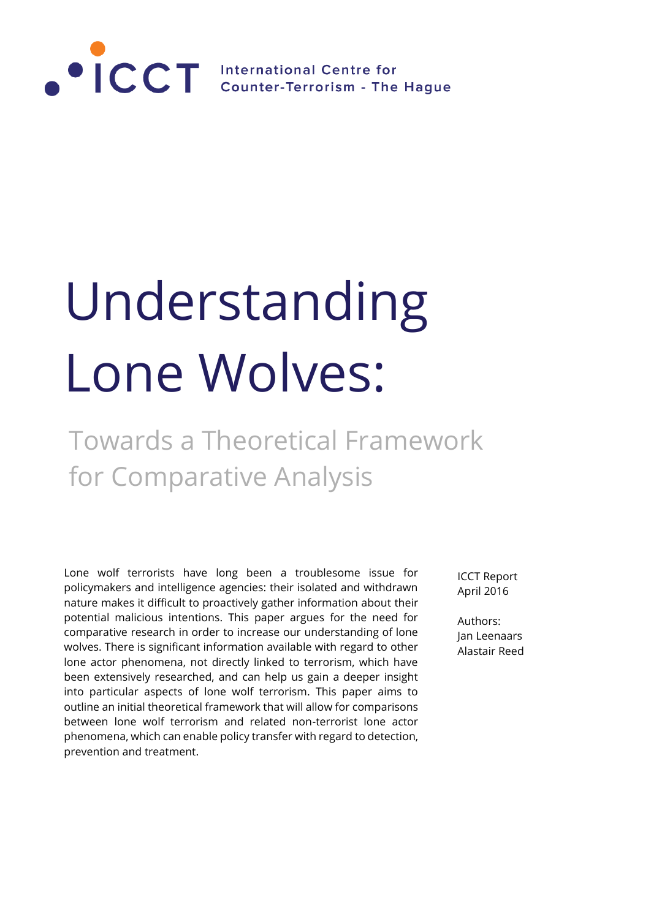

# Understanding Lone Wolves:

# Towards a Theoretical Framework for Comparative Analysis

Lone wolf terrorists have long been a troublesome issue for policymakers and intelligence agencies: their isolated and withdrawn nature makes it difficult to proactively gather information about their potential malicious intentions. This paper argues for the need for comparative research in order to increase our understanding of lone wolves. There is significant information available with regard to other lone actor phenomena, not directly linked to terrorism, which have been extensively researched, and can help us gain a deeper insight into particular aspects of lone wolf terrorism. This paper aims to outline an initial theoretical framework that will allow for comparisons between lone wolf terrorism and related non-terrorist lone actor phenomena, which can enable policy transfer with regard to detection, prevention and treatment.

ICCT Report April 2016

Authors: Jan Leenaars Alastair Reed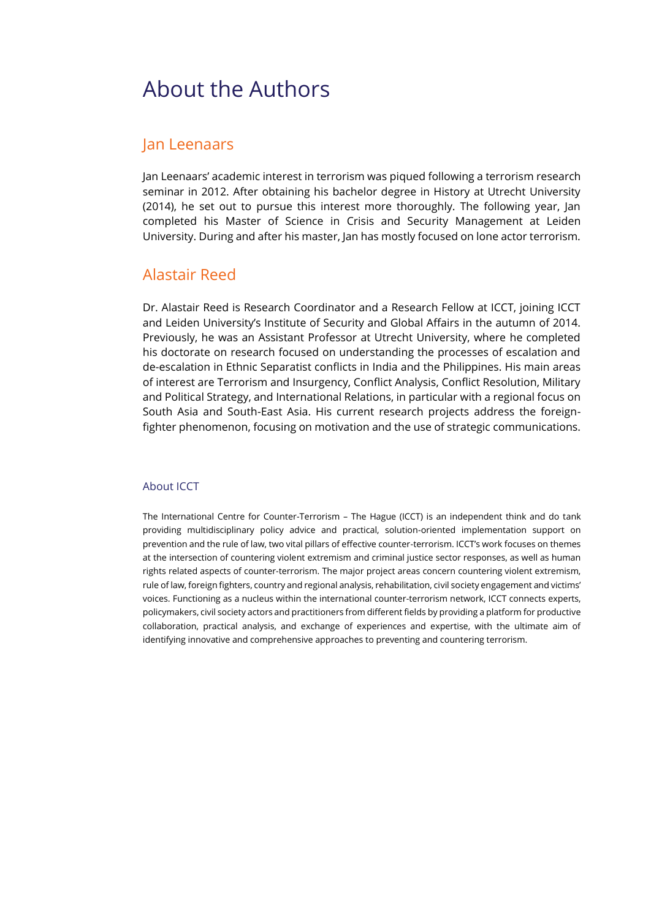### About the Authors

### Jan Leenaars

Jan Leenaars' academic interest in terrorism was piqued following a terrorism research seminar in 2012. After obtaining his bachelor degree in History at Utrecht University (2014), he set out to pursue this interest more thoroughly. The following year, Jan completed his Master of Science in Crisis and Security Management at Leiden University. During and after his master, Jan has mostly focused on lone actor terrorism.

### Alastair Reed

Dr. Alastair Reed is Research Coordinator and a Research Fellow at ICCT, joining ICCT and Leiden University's Institute of Security and Global Affairs in the autumn of 2014. Previously, he was an Assistant Professor at Utrecht University, where he completed his doctorate on research focused on understanding the processes of escalation and de-escalation in Ethnic Separatist conflicts in India and the Philippines. His main areas of interest are Terrorism and Insurgency, Conflict Analysis, Conflict Resolution, Military and Political Strategy, and International Relations, in particular with a regional focus on South Asia and South-East Asia. His current research projects address the foreignfighter phenomenon, focusing on motivation and the use of strategic communications.

#### About ICCT

The International Centre for Counter-Terrorism – The Hague (ICCT) is an independent think and do tank providing multidisciplinary policy advice and practical, solution-oriented implementation support on prevention and the rule of law, two vital pillars of effective counter-terrorism. ICCT's work focuses on themes at the intersection of countering violent extremism and criminal justice sector responses, as well as human rights related aspects of counter-terrorism. The major project areas concern countering violent extremism, rule of law, foreign fighters, country and regional analysis, rehabilitation, civil society engagement and victims' voices. Functioning as a nucleus within the international counter-terrorism network, ICCT connects experts, policymakers, civil society actors and practitioners from different fields by providing a platform for productive collaboration, practical analysis, and exchange of experiences and expertise, with the ultimate aim of identifying innovative and comprehensive approaches to preventing and countering terrorism.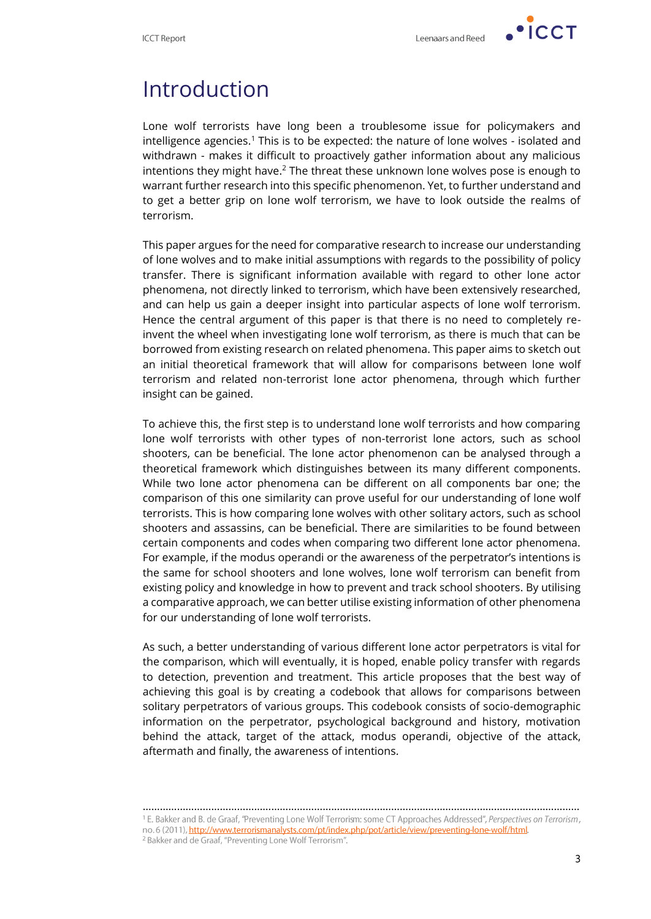

 $\cdot$  ICCT

### Introduction

Lone wolf terrorists have long been a troublesome issue for policymakers and intelligence agencies.<sup>1</sup> This is to be expected: the nature of lone wolves - isolated and withdrawn - makes it difficult to proactively gather information about any malicious intentions they might have.<sup>2</sup> The threat these unknown lone wolves pose is enough to warrant further research into this specific phenomenon. Yet, to further understand and to get a better grip on lone wolf terrorism, we have to look outside the realms of terrorism.

This paper argues for the need for comparative research to increase our understanding of lone wolves and to make initial assumptions with regards to the possibility of policy transfer. There is significant information available with regard to other lone actor phenomena, not directly linked to terrorism, which have been extensively researched, and can help us gain a deeper insight into particular aspects of lone wolf terrorism. Hence the central argument of this paper is that there is no need to completely reinvent the wheel when investigating lone wolf terrorism, as there is much that can be borrowed from existing research on related phenomena. This paper aims to sketch out an initial theoretical framework that will allow for comparisons between lone wolf terrorism and related non-terrorist lone actor phenomena, through which further insight can be gained.

To achieve this, the first step is to understand lone wolf terrorists and how comparing lone wolf terrorists with other types of non-terrorist lone actors, such as school shooters, can be beneficial. The lone actor phenomenon can be analysed through a theoretical framework which distinguishes between its many different components. While two lone actor phenomena can be different on all components bar one; the comparison of this one similarity can prove useful for our understanding of lone wolf terrorists. This is how comparing lone wolves with other solitary actors, such as school shooters and assassins, can be beneficial. There are similarities to be found between certain components and codes when comparing two different lone actor phenomena. For example, if the modus operandi or the awareness of the perpetrator's intentions is the same for school shooters and lone wolves, lone wolf terrorism can benefit from existing policy and knowledge in how to prevent and track school shooters. By utilising a comparative approach, we can better utilise existing information of other phenomena for our understanding of lone wolf terrorists.

As such, a better understanding of various different lone actor perpetrators is vital for the comparison, which will eventually, it is hoped, enable policy transfer with regards to detection, prevention and treatment. This article proposes that the best way of achieving this goal is by creating a codebook that allows for comparisons between solitary perpetrators of various groups. This codebook consists of socio-demographic information on the perpetrator, psychological background and history, motivation behind the attack, target of the attack, modus operandi, objective of the attack, aftermath and finally, the awareness of intentions.

<sup>………………………………………………………………………………………………………………………………………</sup><sup>1</sup> E. Bakker and B. de Graaf, "Preventing Lone Wolf Terrorism: some CT Approaches Addressed", Perspectives on Terrorism, no. 6 (2011), http://www.terrorismanalysts.com/pt/index.php/pot/article/view/preventing-lone-wolf/html. <sup>2</sup> Bakker and de Graaf, "Preventing Lone Wolf Terrorism".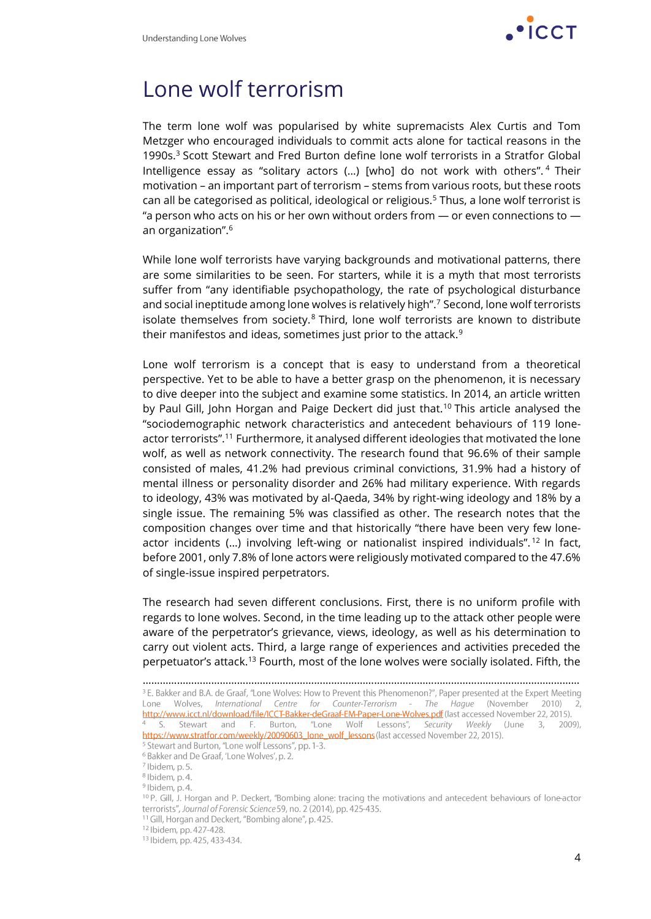

### Lone wolf terrorism

The term lone wolf was popularised by white supremacists Alex Curtis and Tom Metzger who encouraged individuals to commit acts alone for tactical reasons in the 1990s.<sup>3</sup> Scott Stewart and Fred Burton define lone wolf terrorists in a Stratfor Global Intelligence essay as "solitary actors (…) [who] do not work with others". <sup>4</sup> Their motivation – an important part of terrorism – stems from various roots, but these roots can all be categorised as political, ideological or religious.<sup>5</sup> Thus, a lone wolf terrorist is "a person who acts on his or her own without orders from  $-$  or even connections to  $$ an organization". 6

While lone wolf terrorists have varying backgrounds and motivational patterns, there are some similarities to be seen. For starters, while it is a myth that most terrorists suffer from "any identifiable psychopathology, the rate of psychological disturbance and social ineptitude among lone wolves is relatively high". <sup>7</sup> Second, lone wolf terrorists isolate themselves from society. $8$  Third, lone wolf terrorists are known to distribute their manifestos and ideas, sometimes just prior to the attack.<sup>9</sup>

Lone wolf terrorism is a concept that is easy to understand from a theoretical perspective. Yet to be able to have a better grasp on the phenomenon, it is necessary to dive deeper into the subject and examine some statistics. In 2014, an article written by Paul Gill, John Horgan and Paige Deckert did just that.<sup>10</sup> This article analysed the "sociodemographic network characteristics and antecedent behaviours of 119 loneactor terrorists". <sup>11</sup> Furthermore, it analysed different ideologies that motivated the lone wolf, as well as network connectivity. The research found that 96.6% of their sample consisted of males, 41.2% had previous criminal convictions, 31.9% had a history of mental illness or personality disorder and 26% had military experience. With regards to ideology, 43% was motivated by al-Qaeda, 34% by right-wing ideology and 18% by a single issue. The remaining 5% was classified as other. The research notes that the composition changes over time and that historically "there have been very few loneactor incidents (...) involving left-wing or nationalist inspired individuals".<sup>12</sup> In fact, before 2001, only 7.8% of lone actors were religiously motivated compared to the 47.6% of single-issue inspired perpetrators.

The research had seven different conclusions. First, there is no uniform profile with regards to lone wolves. Second, in the time leading up to the attack other people were aware of the perpetrator's grievance, views, ideology, as well as his determination to carry out violent acts. Third, a large range of experiences and activities preceded the perpetuator's attack.<sup>13</sup> Fourth, most of the lone wolves were socially isolated. Fifth, the

<sup>………………………………………………………………………………………………………………………………………</sup><sup>3</sup> E. Bakker and B.A. de Graaf, "Lone Wolves: How to Prevent this Phenomenon?", Paper presented at the Expert Meeting Lone Wolves, International Centre for Counter-Terrorism - The Hague (November 2010) http://www.icct.nl/download/file/ICCT-Bakker-deGraaf-EM-Paper-Lone-Wolves.pdf (last accessed November 22, 2015). <sup>4</sup> S. Stewart and F. Burton, "Lone Wolf Lessons", Security Weekly (June 3, 2009), https://www.stratfor.com/weekly/20090603 lone wolf lessons (last accessed November 22, 2015).

<sup>&</sup>lt;sup>5</sup> Stewart and Burton, "Lone wolf Lessons", pp. 1-3.

<sup>&</sup>lt;sup>6</sup> Bakker and De Graaf, 'Lone Wolves', p. 2.

<sup>7</sup> Ibidem, p. 5.

<sup>&</sup>lt;sup>8</sup> Ibidem, p. 4.

<sup>&</sup>lt;sup>9</sup> Ibidem, p. 4.

<sup>&</sup>lt;sup>10</sup> P. Gill, J. Horgan and P. Deckert, "Bombing alone: tracing the motivations and antecedent behaviours of lone-actor terrorists", Journal of Forensic Science 59, no. 2 (2014), pp. 425-435.

<sup>&</sup>lt;sup>11</sup> Gill, Horgan and Deckert, "Bombing alone", p. 425.

<sup>&</sup>lt;sup>12</sup> Ibidem, pp. 427-428.

<sup>&</sup>lt;sup>13</sup> Ibidem, pp. 425, 433-434.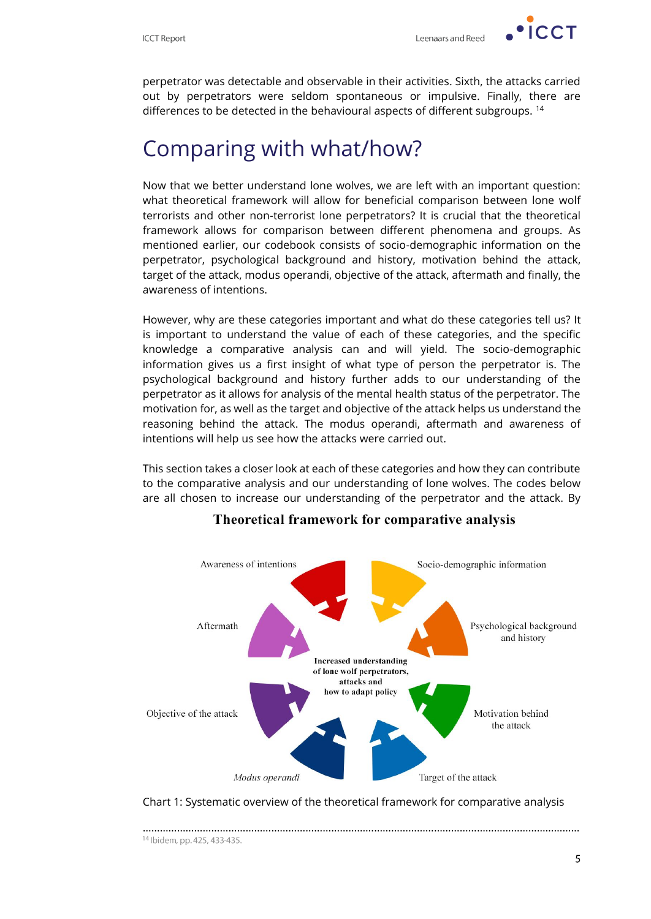**ICCT** 

perpetrator was detectable and observable in their activities. Sixth, the attacks carried out by perpetrators were seldom spontaneous or impulsive. Finally, there are differences to be detected in the behavioural aspects of different subgroups.<sup>14</sup>

# Comparing with what/how?

Now that we better understand lone wolves, we are left with an important question: what theoretical framework will allow for beneficial comparison between lone wolf terrorists and other non-terrorist lone perpetrators? It is crucial that the theoretical framework allows for comparison between different phenomena and groups. As mentioned earlier, our codebook consists of socio-demographic information on the perpetrator, psychological background and history, motivation behind the attack, target of the attack, modus operandi, objective of the attack, aftermath and finally, the awareness of intentions.

However, why are these categories important and what do these categories tell us? It is important to understand the value of each of these categories, and the specific knowledge a comparative analysis can and will yield. The socio-demographic information gives us a first insight of what type of person the perpetrator is. The psychological background and history further adds to our understanding of the perpetrator as it allows for analysis of the mental health status of the perpetrator. The motivation for, as well as the target and objective of the attack helps us understand the reasoning behind the attack. The modus operandi, aftermath and awareness of intentions will help us see how the attacks were carried out.

This section takes a closer look at each of these categories and how they can contribute to the comparative analysis and our understanding of lone wolves. The codes below are all chosen to increase our understanding of the perpetrator and the attack. By



#### Theoretical framework for comparative analysis

Chart 1: Systematic overview of the theoretical framework for comparative analysis

………………………………………………………………………………………………………………………………………

<sup>14</sup> Ibidem, pp. 425, 433-435.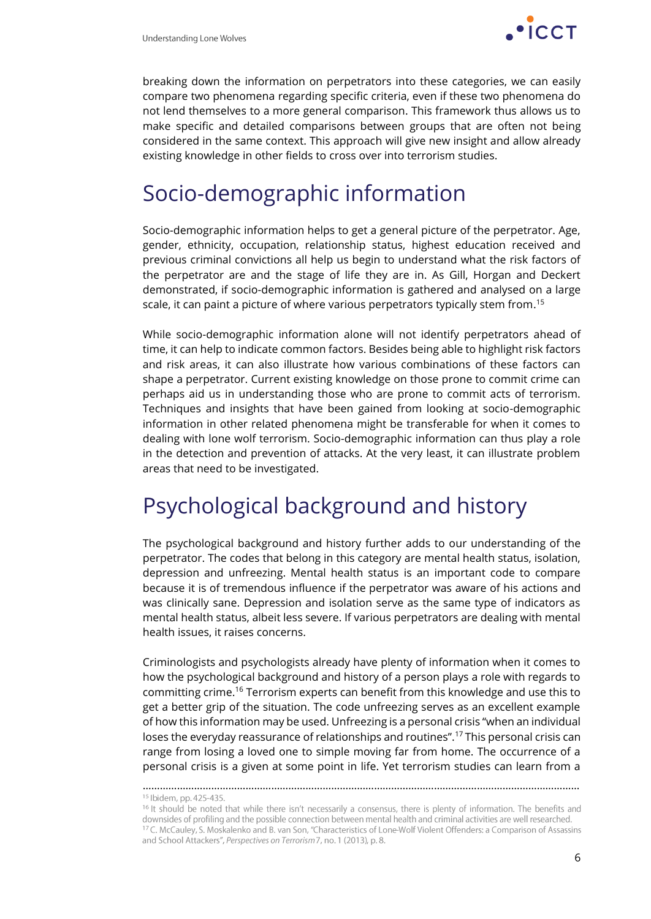

breaking down the information on perpetrators into these categories, we can easily compare two phenomena regarding specific criteria, even if these two phenomena do not lend themselves to a more general comparison. This framework thus allows us to make specific and detailed comparisons between groups that are often not being considered in the same context. This approach will give new insight and allow already existing knowledge in other fields to cross over into terrorism studies.

# Socio-demographic information

Socio-demographic information helps to get a general picture of the perpetrator. Age, gender, ethnicity, occupation, relationship status, highest education received and previous criminal convictions all help us begin to understand what the risk factors of the perpetrator are and the stage of life they are in. As Gill, Horgan and Deckert demonstrated, if socio-demographic information is gathered and analysed on a large scale, it can paint a picture of where various perpetrators typically stem from. 15

While socio-demographic information alone will not identify perpetrators ahead of time, it can help to indicate common factors. Besides being able to highlight risk factors and risk areas, it can also illustrate how various combinations of these factors can shape a perpetrator. Current existing knowledge on those prone to commit crime can perhaps aid us in understanding those who are prone to commit acts of terrorism. Techniques and insights that have been gained from looking at socio-demographic information in other related phenomena might be transferable for when it comes to dealing with lone wolf terrorism. Socio-demographic information can thus play a role in the detection and prevention of attacks. At the very least, it can illustrate problem areas that need to be investigated.

# Psychological background and history

The psychological background and history further adds to our understanding of the perpetrator. The codes that belong in this category are mental health status, isolation, depression and unfreezing. Mental health status is an important code to compare because it is of tremendous influence if the perpetrator was aware of his actions and was clinically sane. Depression and isolation serve as the same type of indicators as mental health status, albeit less severe. If various perpetrators are dealing with mental health issues, it raises concerns.

Criminologists and psychologists already have plenty of information when it comes to how the psychological background and history of a person plays a role with regards to committing crime.<sup>16</sup> Terrorism experts can benefit from this knowledge and use this to get a better grip of the situation. The code unfreezing serves as an excellent example of how this information may be used. Unfreezing is a personal crisis "when an individual loses the everyday reassurance of relationships and routines".<sup>17</sup> This personal crisis can range from losing a loved one to simple moving far from home. The occurrence of a personal crisis is a given at some point in life. Yet terrorism studies can learn from a

………………………………………………………………………………………………………………………………………

<sup>&</sup>lt;sup>15</sup> Ibidem, pp. 425-435.

<sup>&</sup>lt;sup>16</sup> It should be noted that while there isn't necessarily a consensus, there is plenty of information. The benefits and downsides of profiling and the possible connection between mental health and criminal activities are well researched. <sup>17</sup>C. McCauley, S. Moskalenko and B. van Son, "Characteristics of Lone-Wolf Violent Offenders: a Comparison of Assassins and School Attackers", Perspectives on Terrorism 7, no. 1 (2013), p. 8.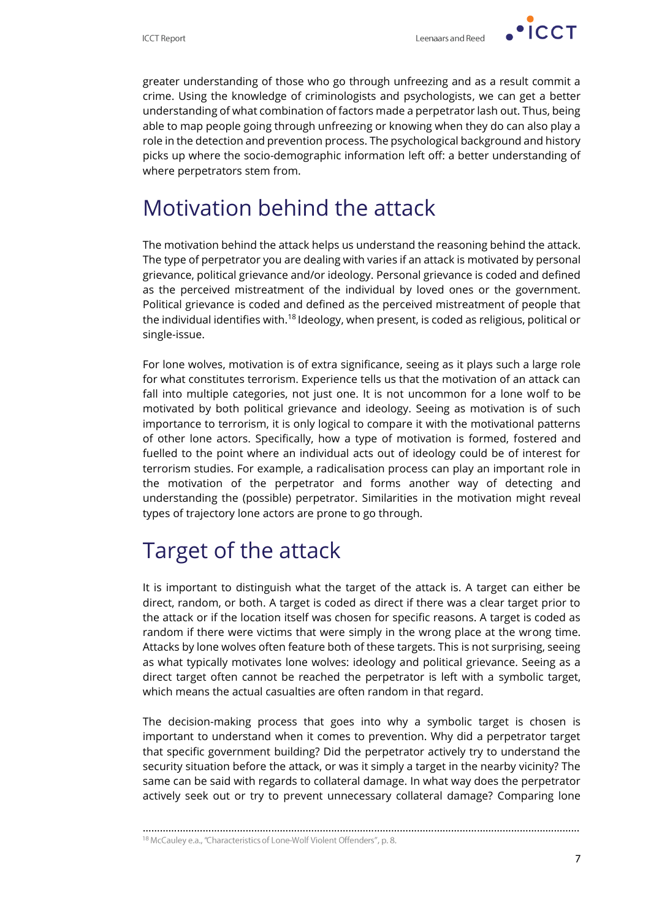

greater understanding of those who go through unfreezing and as a result commit a crime. Using the knowledge of criminologists and psychologists, we can get a better understanding of what combination of factors made a perpetrator lash out. Thus, being able to map people going through unfreezing or knowing when they do can also play a role in the detection and prevention process. The psychological background and history picks up where the socio-demographic information left off: a better understanding of where perpetrators stem from.

# Motivation behind the attack

The motivation behind the attack helps us understand the reasoning behind the attack. The type of perpetrator you are dealing with varies if an attack is motivated by personal grievance, political grievance and/or ideology. Personal grievance is coded and defined as the perceived mistreatment of the individual by loved ones or the government. Political grievance is coded and defined as the perceived mistreatment of people that the individual identifies with.<sup>18</sup> Ideology, when present, is coded as religious, political or single-issue.

For lone wolves, motivation is of extra significance, seeing as it plays such a large role for what constitutes terrorism. Experience tells us that the motivation of an attack can fall into multiple categories, not just one. It is not uncommon for a lone wolf to be motivated by both political grievance and ideology. Seeing as motivation is of such importance to terrorism, it is only logical to compare it with the motivational patterns of other lone actors. Specifically, how a type of motivation is formed, fostered and fuelled to the point where an individual acts out of ideology could be of interest for terrorism studies. For example, a radicalisation process can play an important role in the motivation of the perpetrator and forms another way of detecting and understanding the (possible) perpetrator. Similarities in the motivation might reveal types of trajectory lone actors are prone to go through.

# Target of the attack

It is important to distinguish what the target of the attack is. A target can either be direct, random, or both. A target is coded as direct if there was a clear target prior to the attack or if the location itself was chosen for specific reasons. A target is coded as random if there were victims that were simply in the wrong place at the wrong time. Attacks by lone wolves often feature both of these targets. This is not surprising, seeing as what typically motivates lone wolves: ideology and political grievance. Seeing as a direct target often cannot be reached the perpetrator is left with a symbolic target, which means the actual casualties are often random in that regard.

The decision-making process that goes into why a symbolic target is chosen is important to understand when it comes to prevention. Why did a perpetrator target that specific government building? Did the perpetrator actively try to understand the security situation before the attack, or was it simply a target in the nearby vicinity? The same can be said with regards to collateral damage. In what way does the perpetrator actively seek out or try to prevent unnecessary collateral damage? Comparing lone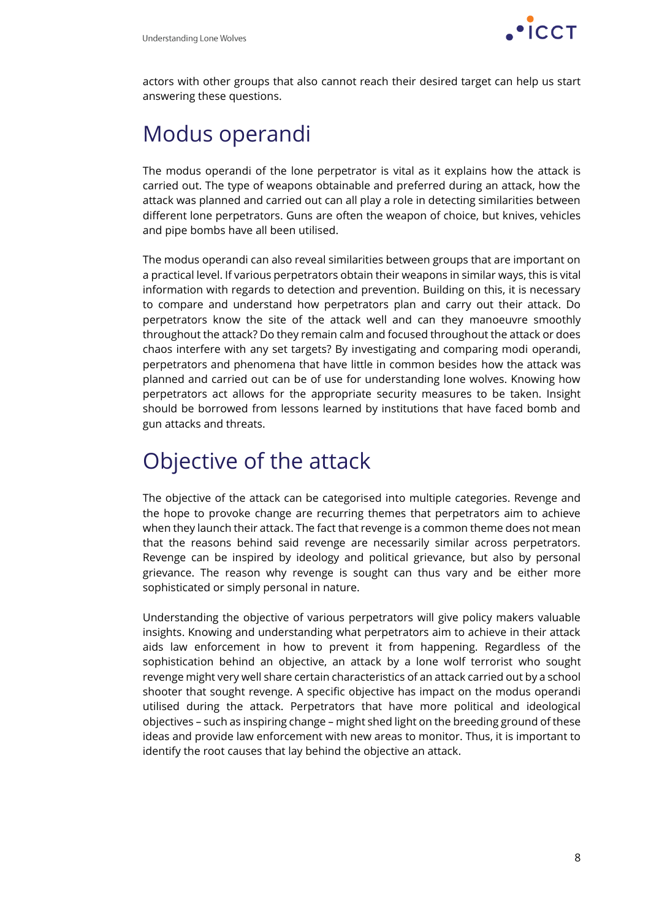

actors with other groups that also cannot reach their desired target can help us start answering these questions.

# Modus operandi

The modus operandi of the lone perpetrator is vital as it explains how the attack is carried out. The type of weapons obtainable and preferred during an attack, how the attack was planned and carried out can all play a role in detecting similarities between different lone perpetrators. Guns are often the weapon of choice, but knives, vehicles and pipe bombs have all been utilised.

The modus operandi can also reveal similarities between groups that are important on a practical level. If various perpetrators obtain their weapons in similar ways, this is vital information with regards to detection and prevention. Building on this, it is necessary to compare and understand how perpetrators plan and carry out their attack. Do perpetrators know the site of the attack well and can they manoeuvre smoothly throughout the attack? Do they remain calm and focused throughout the attack or does chaos interfere with any set targets? By investigating and comparing modi operandi, perpetrators and phenomena that have little in common besides how the attack was planned and carried out can be of use for understanding lone wolves. Knowing how perpetrators act allows for the appropriate security measures to be taken. Insight should be borrowed from lessons learned by institutions that have faced bomb and gun attacks and threats.

# Objective of the attack

The objective of the attack can be categorised into multiple categories. Revenge and the hope to provoke change are recurring themes that perpetrators aim to achieve when they launch their attack. The fact that revenge is a common theme does not mean that the reasons behind said revenge are necessarily similar across perpetrators. Revenge can be inspired by ideology and political grievance, but also by personal grievance. The reason why revenge is sought can thus vary and be either more sophisticated or simply personal in nature.

Understanding the objective of various perpetrators will give policy makers valuable insights. Knowing and understanding what perpetrators aim to achieve in their attack aids law enforcement in how to prevent it from happening. Regardless of the sophistication behind an objective, an attack by a lone wolf terrorist who sought revenge might very well share certain characteristics of an attack carried out by a school shooter that sought revenge. A specific objective has impact on the modus operandi utilised during the attack. Perpetrators that have more political and ideological objectives – such as inspiring change – might shed light on the breeding ground of these ideas and provide law enforcement with new areas to monitor. Thus, it is important to identify the root causes that lay behind the objective an attack.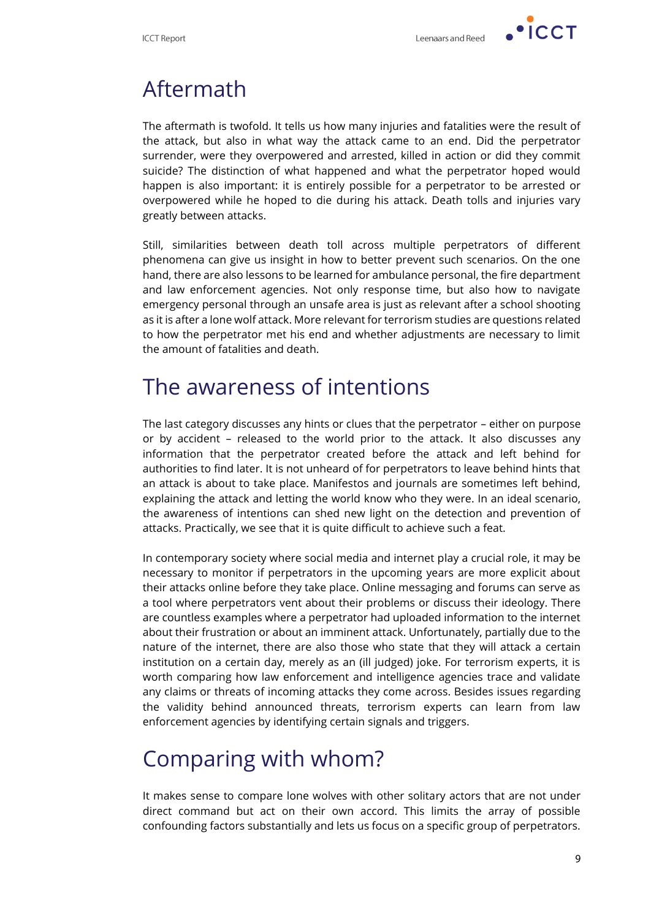$\cdot$   $\overline{\phantom{a}}$   $\overline{\phantom{a}}$   $\overline{\phantom{a}}$   $\overline{\phantom{a}}$ 

# Aftermath

The aftermath is twofold. It tells us how many injuries and fatalities were the result of the attack, but also in what way the attack came to an end. Did the perpetrator surrender, were they overpowered and arrested, killed in action or did they commit suicide? The distinction of what happened and what the perpetrator hoped would happen is also important: it is entirely possible for a perpetrator to be arrested or overpowered while he hoped to die during his attack. Death tolls and injuries vary greatly between attacks.

Still, similarities between death toll across multiple perpetrators of different phenomena can give us insight in how to better prevent such scenarios. On the one hand, there are also lessons to be learned for ambulance personal, the fire department and law enforcement agencies. Not only response time, but also how to navigate emergency personal through an unsafe area is just as relevant after a school shooting as it is after a lone wolf attack. More relevant for terrorism studies are questions related to how the perpetrator met his end and whether adjustments are necessary to limit the amount of fatalities and death.

# The awareness of intentions

The last category discusses any hints or clues that the perpetrator – either on purpose or by accident – released to the world prior to the attack. It also discusses any information that the perpetrator created before the attack and left behind for authorities to find later. It is not unheard of for perpetrators to leave behind hints that an attack is about to take place. Manifestos and journals are sometimes left behind, explaining the attack and letting the world know who they were. In an ideal scenario, the awareness of intentions can shed new light on the detection and prevention of attacks. Practically, we see that it is quite difficult to achieve such a feat.

In contemporary society where social media and internet play a crucial role, it may be necessary to monitor if perpetrators in the upcoming years are more explicit about their attacks online before they take place. Online messaging and forums can serve as a tool where perpetrators vent about their problems or discuss their ideology. There are countless examples where a perpetrator had uploaded information to the internet about their frustration or about an imminent attack. Unfortunately, partially due to the nature of the internet, there are also those who state that they will attack a certain institution on a certain day, merely as an (ill judged) joke. For terrorism experts, it is worth comparing how law enforcement and intelligence agencies trace and validate any claims or threats of incoming attacks they come across. Besides issues regarding the validity behind announced threats, terrorism experts can learn from law enforcement agencies by identifying certain signals and triggers.

# Comparing with whom?

It makes sense to compare lone wolves with other solitary actors that are not under direct command but act on their own accord. This limits the array of possible confounding factors substantially and lets us focus on a specific group of perpetrators.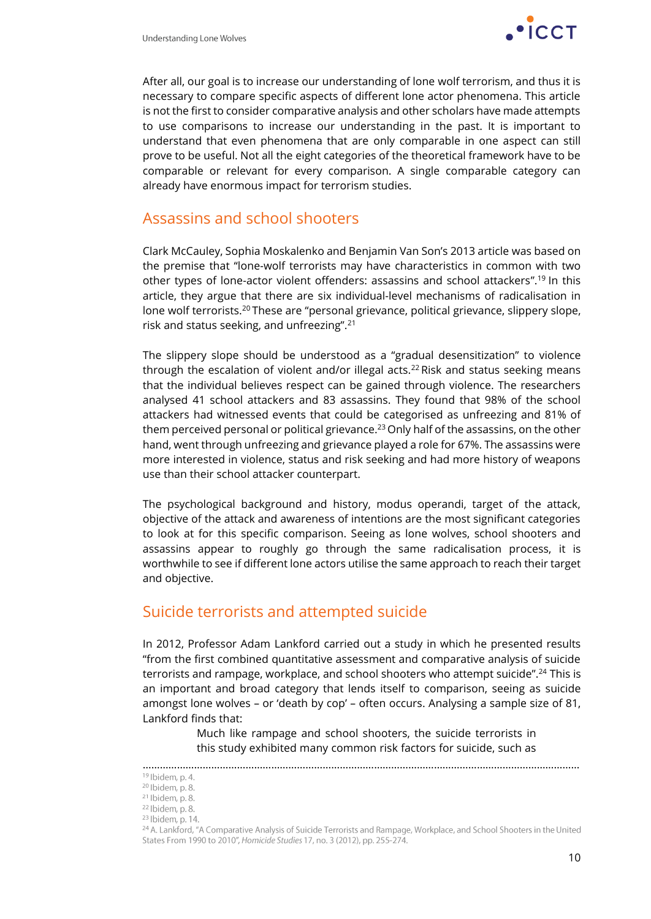

After all, our goal is to increase our understanding of lone wolf terrorism, and thus it is necessary to compare specific aspects of different lone actor phenomena. This article is not the first to consider comparative analysis and other scholars have made attempts to use comparisons to increase our understanding in the past. It is important to understand that even phenomena that are only comparable in one aspect can still prove to be useful. Not all the eight categories of the theoretical framework have to be comparable or relevant for every comparison. A single comparable category can already have enormous impact for terrorism studies.

### Assassins and school shooters

Clark McCauley, Sophia Moskalenko and Benjamin Van Son's 2013 article was based on the premise that "lone-wolf terrorists may have characteristics in common with two other types of lone-actor violent offenders: assassins and school attackers".<sup>19</sup> In this article, they argue that there are six individual-level mechanisms of radicalisation in lone wolf terrorists.<sup>20</sup> These are "personal grievance, political grievance, slippery slope, risk and status seeking, and unfreezing".<sup>21</sup>

The slippery slope should be understood as a "gradual desensitization" to violence through the escalation of violent and/or illegal acts.<sup>22</sup> Risk and status seeking means that the individual believes respect can be gained through violence. The researchers analysed 41 school attackers and 83 assassins. They found that 98% of the school attackers had witnessed events that could be categorised as unfreezing and 81% of them perceived personal or political grievance.<sup>23</sup> Only half of the assassins, on the other hand, went through unfreezing and grievance played a role for 67%. The assassins were more interested in violence, status and risk seeking and had more history of weapons use than their school attacker counterpart.

The psychological background and history, modus operandi, target of the attack, objective of the attack and awareness of intentions are the most significant categories to look at for this specific comparison. Seeing as lone wolves, school shooters and assassins appear to roughly go through the same radicalisation process, it is worthwhile to see if different lone actors utilise the same approach to reach their target and objective.

### Suicide terrorists and attempted suicide

In 2012, Professor Adam Lankford carried out a study in which he presented results "from the first combined quantitative assessment and comparative analysis of suicide terrorists and rampage, workplace, and school shooters who attempt suicide".<sup>24</sup> This is an important and broad category that lends itself to comparison, seeing as suicide amongst lone wolves – or 'death by cop' – often occurs. Analysing a sample size of 81, Lankford finds that:

> Much like rampage and school shooters, the suicide terrorists in this study exhibited many common risk factors for suicide, such as

<sup>………………………………………………………………………………………………………………………………………</sup>

<sup>&</sup>lt;sup>19</sup> Ibidem, p. 4. <sup>20</sup> Ibidem, p. 8.

 $21$  Ibidem, p. 8.

 $22$  Ibidem, p. 8.

<sup>&</sup>lt;sup>23</sup> Ibidem, p. 14.

<sup>&</sup>lt;sup>24</sup> A. Lankford, "A Comparative Analysis of Suicide Terrorists and Rampage, Workplace, and School Shooters in the United States From 1990 to 2010", Homicide Studies 17, no. 3 (2012), pp. 255-274.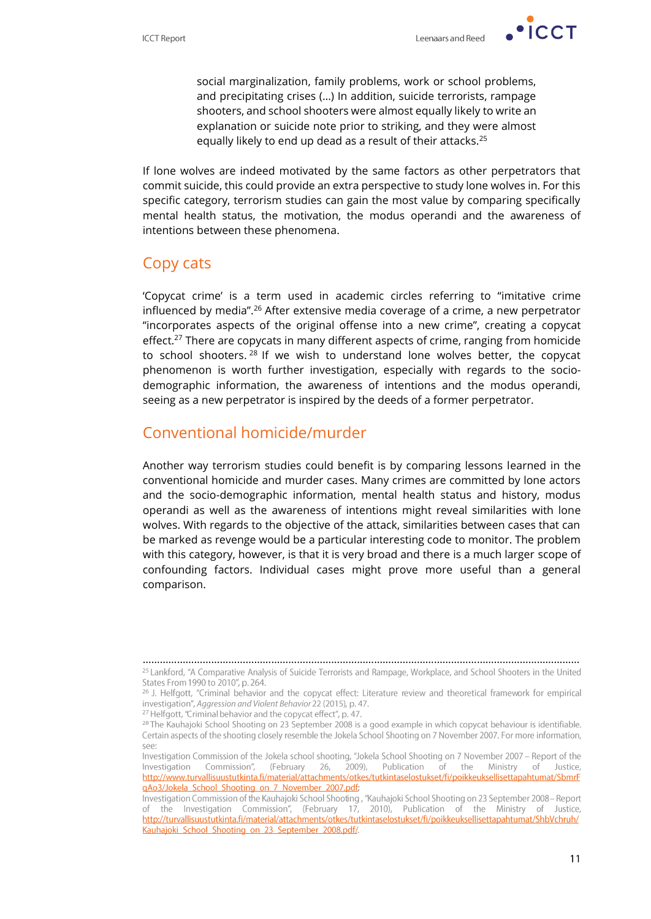$\cdot$  ICCT

social marginalization, family problems, work or school problems, and precipitating crises (…) In addition, suicide terrorists, rampage shooters, and school shooters were almost equally likely to write an explanation or suicide note prior to striking, and they were almost equally likely to end up dead as a result of their attacks.<sup>25</sup>

If lone wolves are indeed motivated by the same factors as other perpetrators that commit suicide, this could provide an extra perspective to study lone wolves in. For this specific category, terrorism studies can gain the most value by comparing specifically mental health status, the motivation, the modus operandi and the awareness of intentions between these phenomena.

### Copy cats

'Copycat crime' is a term used in academic circles referring to "imitative crime influenced by media".<sup>26</sup> After extensive media coverage of a crime, a new perpetrator "incorporates aspects of the original offense into a new crime", creating a copycat effect.<sup>27</sup> There are copycats in many different aspects of crime, ranging from homicide to school shooters. <sup>28</sup> If we wish to understand lone wolves better, the copycat phenomenon is worth further investigation, especially with regards to the sociodemographic information, the awareness of intentions and the modus operandi, seeing as a new perpetrator is inspired by the deeds of a former perpetrator.

### Conventional homicide/murder

Another way terrorism studies could benefit is by comparing lessons learned in the conventional homicide and murder cases. Many crimes are committed by lone actors and the socio-demographic information, mental health status and history, modus operandi as well as the awareness of intentions might reveal similarities with lone wolves. With regards to the objective of the attack, similarities between cases that can be marked as revenge would be a particular interesting code to monitor. The problem with this category, however, is that it is very broad and there is a much larger scope of confounding factors. Individual cases might prove more useful than a general comparison.

<sup>………………………………………………………………………………………………………………………………………</sup><sup>25</sup> Lankford, "A Comparative Analysis of Suicide Terrorists and Rampage, Workplace, and School Shooters in the United States From 1990 to 2010", p. 264.

<sup>&</sup>lt;sup>26</sup> J. Helfgott, "Criminal behavior and the copycat effect: Literature review and theoretical framework for empirical investigation", Aggression and Violent Behavior 22 (2015), p. 47.

<sup>&</sup>lt;sup>27</sup> Helfgott, "Criminal behavior and the copycat effect", p. 47.

<sup>&</sup>lt;sup>28</sup> The Kauhajoki School Shooting on 23 September 2008 is a good example in which copycat behaviour is identifiable. Certain aspects of the shooting closely resemble the Jokela School Shooting on 7 November 2007. For more information, see:

Investigation Commission of the Jokela school shooting, "Jokela School Shooting on 7 November 2007 - Report of the Publication Ministry Commission", (February 26,  $2009,$ of the Justice, Investigation of http://www.turvallisuustutkinta.fi/material/attachments/otkes/tutkintaselostukset/fi/poikkeuksellisettapahtumat/SbmrF gAo3/Jokela School Shooting on 7 November 2007.pdf;

Investigation Commission of the Kauhajoki School Shooting, "Kauhajoki School Shooting on 23 September 2008 - Report of the Investigation Commission", (February 17, 2010), Publication of the Ministry of Justice, http://turvallisuustutkinta.fi/material/attachments/otkes/tutkintaselostukset/fi/poikkeuksellisettapahtumat/ShbVchruh/ Kauhajoki\_School\_Shooting\_on\_23\_September\_2008.pdf/.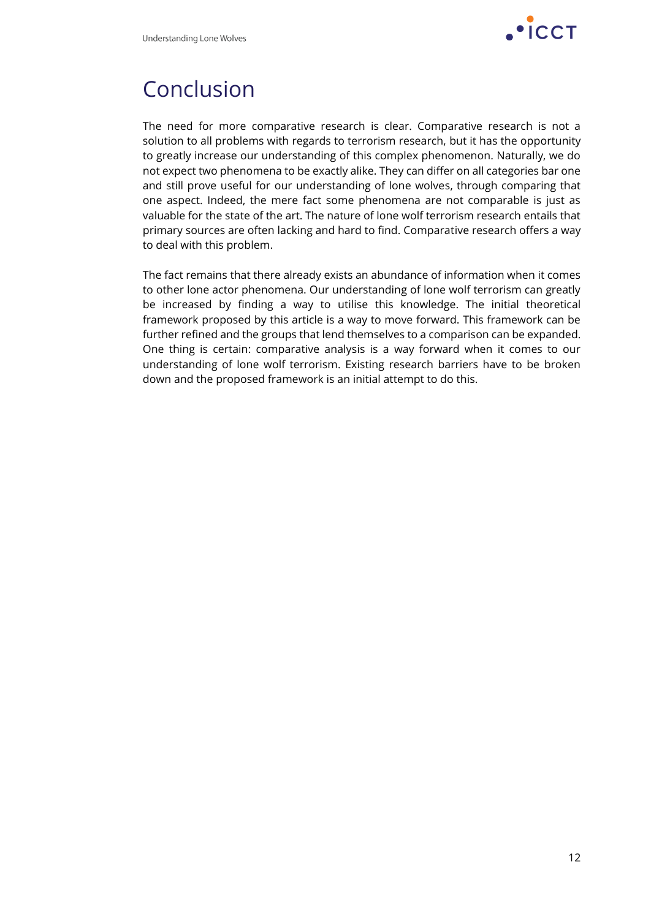

### Conclusion

The need for more comparative research is clear. Comparative research is not a solution to all problems with regards to terrorism research, but it has the opportunity to greatly increase our understanding of this complex phenomenon. Naturally, we do not expect two phenomena to be exactly alike. They can differ on all categories bar one and still prove useful for our understanding of lone wolves, through comparing that one aspect. Indeed, the mere fact some phenomena are not comparable is just as valuable for the state of the art. The nature of lone wolf terrorism research entails that primary sources are often lacking and hard to find. Comparative research offers a way to deal with this problem.

The fact remains that there already exists an abundance of information when it comes to other lone actor phenomena. Our understanding of lone wolf terrorism can greatly be increased by finding a way to utilise this knowledge. The initial theoretical framework proposed by this article is a way to move forward. This framework can be further refined and the groups that lend themselves to a comparison can be expanded. One thing is certain: comparative analysis is a way forward when it comes to our understanding of lone wolf terrorism. Existing research barriers have to be broken down and the proposed framework is an initial attempt to do this.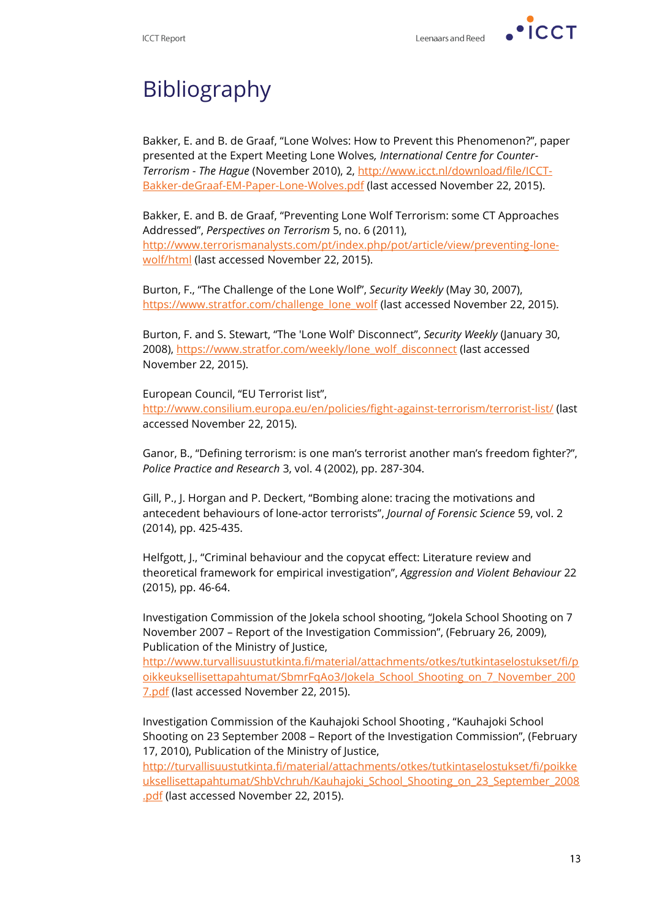$\cdot$  ICCT



# Bibliography

Bakker, E. and B. de Graaf, "Lone Wolves: How to Prevent this Phenomenon?", paper presented at the Expert Meeting Lone Wolves*, International Centre for Counter-Terrorism - The Hague* (November 2010), 2, [http://www.icct.nl/download/file/ICCT-](http://www.icct.nl/download/file/ICCT-Bakker-deGraaf-EM-Paper-Lone-Wolves.pdf)[Bakker-deGraaf-EM-Paper-Lone-Wolves.pdf](http://www.icct.nl/download/file/ICCT-Bakker-deGraaf-EM-Paper-Lone-Wolves.pdf) (last accessed November 22, 2015).

Bakker, E. and B. de Graaf, "Preventing Lone Wolf Terrorism: some CT Approaches Addressed", *Perspectives on Terrorism* 5, no. 6 (2011), [http://www.terrorismanalysts.com/pt/index.php/pot/article/view/preventing-lone](http://www.terrorismanalysts.com/pt/index.php/pot/article/view/preventing-lone-wolf/html)[wolf/html](http://www.terrorismanalysts.com/pt/index.php/pot/article/view/preventing-lone-wolf/html) (last accessed November 22, 2015).

Burton, F., "The Challenge of the Lone Wolf", *Security Weekly* (May 30, 2007), [https://www.stratfor.com/challenge\\_lone\\_wolf](https://www.stratfor.com/challenge_lone_wolf) (last accessed November 22, 2015).

Burton, F. and S. Stewart, "The 'Lone Wolf' Disconnect", *Security Weekly* (January 30, 2008), [https://www.stratfor.com/weekly/lone\\_wolf\\_disconnect](https://www.stratfor.com/weekly/lone_wolf_disconnect) (last accessed November 22, 2015).

European Council, "EU Terrorist list", <http://www.consilium.europa.eu/en/policies/fight-against-terrorism/terrorist-list/> (last accessed November 22, 2015).

Ganor, B., "Defining terrorism: is one man's terrorist another man's freedom fighter?", *Police Practice and Research* 3, vol. 4 (2002), pp. 287-304.

Gill, P., J. Horgan and P. Deckert, "Bombing alone: tracing the motivations and antecedent behaviours of lone-actor terrorists", *Journal of Forensic Science* 59, vol. 2 (2014), pp. 425-435.

Helfgott, J., "Criminal behaviour and the copycat effect: Literature review and theoretical framework for empirical investigation", *Aggression and Violent Behaviour* 22 (2015), pp. 46-64.

Investigation Commission of the Jokela school shooting, "Jokela School Shooting on 7 November 2007 – Report of the Investigation Commission", (February 26, 2009), Publication of the Ministry of Justice,

[http://www.turvallisuustutkinta.fi/material/attachments/otkes/tutkintaselostukset/fi/p](http://www.turvallisuustutkinta.fi/material/attachments/otkes/tutkintaselostukset/fi/poikkeuksellisettapahtumat/SbmrFqAo3/Jokela_School_Shooting_on_7_November_2007.pdf) [oikkeuksellisettapahtumat/SbmrFqAo3/Jokela\\_School\\_Shooting\\_on\\_7\\_November\\_200](http://www.turvallisuustutkinta.fi/material/attachments/otkes/tutkintaselostukset/fi/poikkeuksellisettapahtumat/SbmrFqAo3/Jokela_School_Shooting_on_7_November_2007.pdf) [7.pdf](http://www.turvallisuustutkinta.fi/material/attachments/otkes/tutkintaselostukset/fi/poikkeuksellisettapahtumat/SbmrFqAo3/Jokela_School_Shooting_on_7_November_2007.pdf) (last accessed November 22, 2015).

Investigation Commission of the Kauhajoki School Shooting , "Kauhajoki School Shooting on 23 September 2008 – Report of the Investigation Commission", (February 17, 2010), Publication of the Ministry of Justice,

[http://turvallisuustutkinta.fi/material/attachments/otkes/tutkintaselostukset/fi/poikke](http://turvallisuustutkinta.fi/material/attachments/otkes/tutkintaselostukset/fi/poikkeuksellisettapahtumat/ShbVchruh/Kauhajoki_School_Shooting_on_23_September_2008.pdf) [uksellisettapahtumat/ShbVchruh/Kauhajoki\\_School\\_Shooting\\_on\\_23\\_September\\_2008](http://turvallisuustutkinta.fi/material/attachments/otkes/tutkintaselostukset/fi/poikkeuksellisettapahtumat/ShbVchruh/Kauhajoki_School_Shooting_on_23_September_2008.pdf) [.pdf](http://turvallisuustutkinta.fi/material/attachments/otkes/tutkintaselostukset/fi/poikkeuksellisettapahtumat/ShbVchruh/Kauhajoki_School_Shooting_on_23_September_2008.pdf) (last accessed November 22, 2015).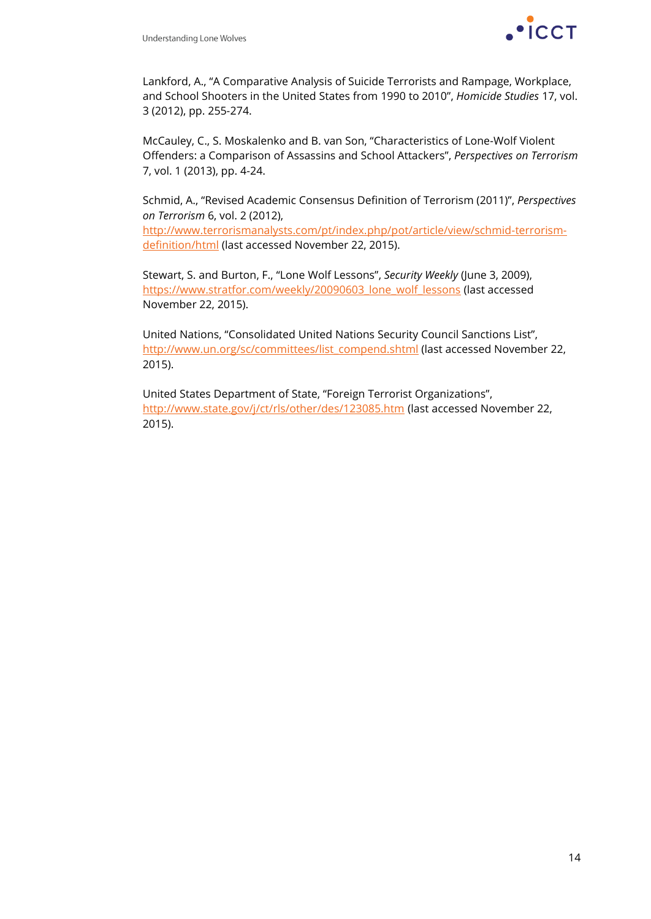

Lankford, A., "A Comparative Analysis of Suicide Terrorists and Rampage, Workplace, and School Shooters in the United States from 1990 to 2010", *Homicide Studies* 17, vol. 3 (2012), pp. 255-274.

McCauley, C., S. Moskalenko and B. van Son, "Characteristics of Lone-Wolf Violent Offenders: a Comparison of Assassins and School Attackers", *Perspectives on Terrorism* 7, vol. 1 (2013), pp. 4-24.

Schmid, A., "Revised Academic Consensus Definition of Terrorism (2011)", *Perspectives on Terrorism* 6, vol. 2 (2012), [http://www.terrorismanalysts.com/pt/index.php/pot/article/view/schmid-terrorism-](http://www.terrorismanalysts.com/pt/index.php/pot/article/view/schmid-terrorism-definition/html)

[definition/html](http://www.terrorismanalysts.com/pt/index.php/pot/article/view/schmid-terrorism-definition/html) (last accessed November 22, 2015).

Stewart, S. and Burton, F., "Lone Wolf Lessons", *Security Weekly* (June 3, 2009), [https://www.stratfor.com/weekly/20090603\\_lone\\_wolf\\_lessons](https://www.stratfor.com/weekly/20090603_lone_wolf_lessons) (last accessed November 22, 2015).

United Nations, "Consolidated United Nations Security Council Sanctions List", [http://www.un.org/sc/committees/list\\_compend.shtml](http://www.un.org/sc/committees/list_compend.shtml) (last accessed November 22, 2015).

United States Department of State, "Foreign Terrorist Organizations", <http://www.state.gov/j/ct/rls/other/des/123085.htm> (last accessed November 22, 2015).